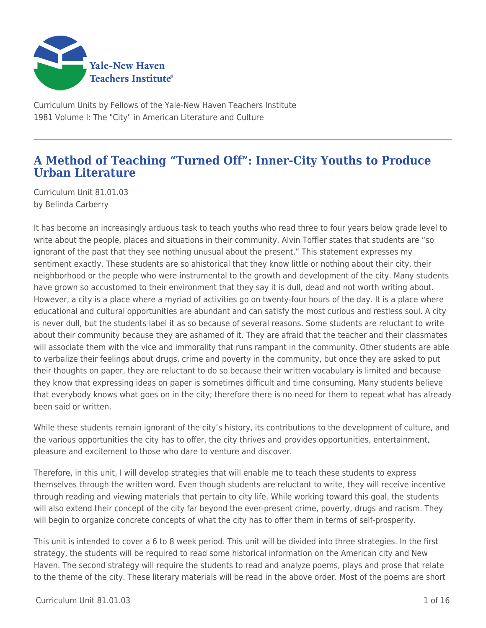

Curriculum Units by Fellows of the Yale-New Haven Teachers Institute 1981 Volume I: The "City" in American Literature and Culture

# **A Method of Teaching "Turned Off": Inner-City Youths to Produce Urban Literature**

Curriculum Unit 81.01.03 by Belinda Carberry

It has become an increasingly arduous task to teach youths who read three to four years below grade level to write about the people, places and situations in their community. Alvin Toffler states that students are "so ignorant of the past that they see nothing unusual about the present." This statement expresses my sentiment exactly. These students are so ahistorical that they know little or nothing about their city, their neighborhood or the people who were instrumental to the growth and development of the city. Many students have grown so accustomed to their environment that they say it is dull, dead and not worth writing about. However, a city is a place where a myriad of activities go on twenty-four hours of the day. It is a place where educational and cultural opportunities are abundant and can satisfy the most curious and restless soul. A city is never dull, but the students label it as so because of several reasons. Some students are reluctant to write about their community because they are ashamed of it. They are afraid that the teacher and their classmates will associate them with the vice and immorality that runs rampant in the community. Other students are able to verbalize their feelings about drugs, crime and poverty in the community, but once they are asked to put their thoughts on paper, they are reluctant to do so because their written vocabulary is limited and because they know that expressing ideas on paper is sometimes difficult and time consuming. Many students believe that everybody knows what goes on in the city; therefore there is no need for them to repeat what has already been said or written.

While these students remain ignorant of the city's history, its contributions to the development of culture, and the various opportunities the city has to offer, the city thrives and provides opportunities, entertainment, pleasure and excitement to those who dare to venture and discover.

Therefore, in this unit, I will develop strategies that will enable me to teach these students to express themselves through the written word. Even though students are reluctant to write, they will receive incentive through reading and viewing materials that pertain to city life. While working toward this goal, the students will also extend their concept of the city far beyond the ever-present crime, poverty, drugs and racism. They will begin to organize concrete concepts of what the city has to offer them in terms of self-prosperity.

This unit is intended to cover a 6 to 8 week period. This unit will be divided into three strategies. In the first strategy, the students will be required to read some historical information on the American city and New Haven. The second strategy will require the students to read and analyze poems, plays and prose that relate to the theme of the city. These literary materials will be read in the above order. Most of the poems are short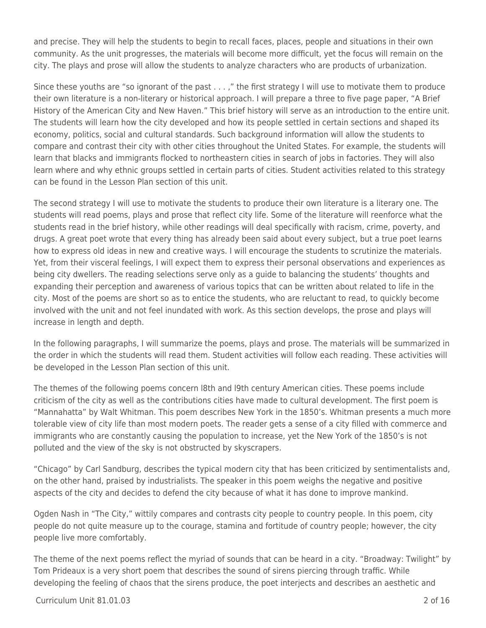and precise. They will help the students to begin to recall faces, places, people and situations in their own community. As the unit progresses, the materials will become more difficult, yet the focus will remain on the city. The plays and prose will allow the students to analyze characters who are products of urbanization.

Since these youths are "so ignorant of the past . . . ," the first strategy I will use to motivate them to produce their own literature is a non-literary or historical approach. I will prepare a three to five page paper, "A Brief History of the American City and New Haven." This brief history will serve as an introduction to the entire unit. The students will learn how the city developed and how its people settled in certain sections and shaped its economy, politics, social and cultural standards. Such background information will allow the students to compare and contrast their city with other cities throughout the United States. For example, the students will learn that blacks and immigrants flocked to northeastern cities in search of jobs in factories. They will also learn where and why ethnic groups settled in certain parts of cities. Student activities related to this strategy can be found in the Lesson Plan section of this unit.

The second strategy I will use to motivate the students to produce their own literature is a literary one. The students will read poems, plays and prose that reflect city life. Some of the literature will reenforce what the students read in the brief history, while other readings will deal specifically with racism, crime, poverty, and drugs. A great poet wrote that every thing has already been said about every subject, but a true poet learns how to express old ideas in new and creative ways. I will encourage the students to scrutinize the materials. Yet, from their visceral feelings, I will expect them to express their personal observations and experiences as being city dwellers. The reading selections serve only as a guide to balancing the students' thoughts and expanding their perception and awareness of various topics that can be written about related to life in the city. Most of the poems are short so as to entice the students, who are reluctant to read, to quickly become involved with the unit and not feel inundated with work. As this section develops, the prose and plays will increase in length and depth.

In the following paragraphs, I will summarize the poems, plays and prose. The materials will be summarized in the order in which the students will read them. Student activities will follow each reading. These activities will be developed in the Lesson Plan section of this unit.

The themes of the following poems concern l8th and l9th century American cities. These poems include criticism of the city as well as the contributions cities have made to cultural development. The first poem is "Mannahatta" by Walt Whitman. This poem describes New York in the 1850's. Whitman presents a much more tolerable view of city life than most modern poets. The reader gets a sense of a city filled with commerce and immigrants who are constantly causing the population to increase, yet the New York of the 1850's is not polluted and the view of the sky is not obstructed by skyscrapers.

"Chicago" by Carl Sandburg, describes the typical modern city that has been criticized by sentimentalists and, on the other hand, praised by industrialists. The speaker in this poem weighs the negative and positive aspects of the city and decides to defend the city because of what it has done to improve mankind.

Ogden Nash in "The City," wittily compares and contrasts city people to country people. In this poem, city people do not quite measure up to the courage, stamina and fortitude of country people; however, the city people live more comfortably.

The theme of the next poems reflect the myriad of sounds that can be heard in a city. "Broadway: Twilight" by Tom Prideaux is a very short poem that describes the sound of sirens piercing through traffic. While developing the feeling of chaos that the sirens produce, the poet interjects and describes an aesthetic and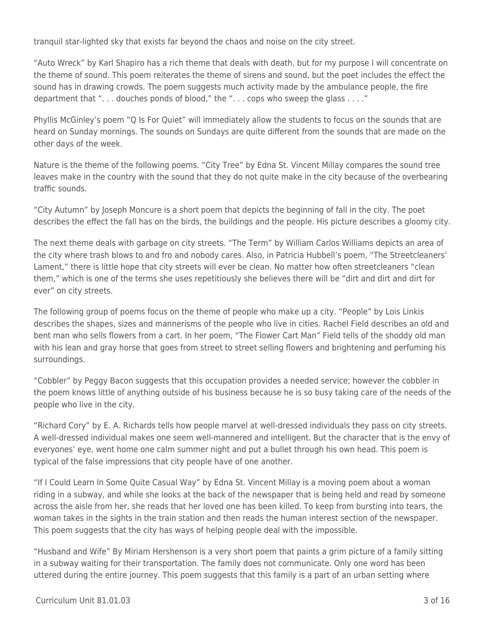tranquil star-lighted sky that exists far beyond the chaos and noise on the city street.

"Auto Wreck" by Karl Shapiro has a rich theme that deals with death, but for my purpose I will concentrate on the theme of sound. This poem reiterates the theme of sirens and sound, but the poet includes the effect the sound has in drawing crowds. The poem suggests much activity made by the ambulance people, the fire department that ". . . douches ponds of blood," the ". . . cops who sweep the glass . . . ."

Phyllis McGinley's poem "Q Is For Quiet" will immediately allow the students to focus on the sounds that are heard on Sunday mornings. The sounds on Sundays are quite different from the sounds that are made on the other days of the week.

Nature is the theme of the following poems. "City Tree" by Edna St. Vincent Millay compares the sound tree leaves make in the country with the sound that they do not quite make in the city because of the overbearing traffic sounds.

"City Autumn" by Joseph Moncure is a short poem that depicts the beginning of fall in the city. The poet describes the effect the fall has on the birds, the buildings and the people. His picture describes a gloomy city.

The next theme deals with garbage on city streets. "The Term" by William Carlos Williams depicts an area of the city where trash blows to and fro and nobody cares. Also, in Patricia Hubbell's poem, "The Streetcleaners' Lament," there is little hope that city streets will ever be clean. No matter how often streetcleaners "clean them," which is one of the terms she uses repetitiously she believes there will be "dirt and dirt and dirt for ever" on city streets.

The following group of poems focus on the theme of people who make up a city. "People" by Lois Linkis describes the shapes, sizes and mannerisms of the people who live in cities. Rachel Field describes an old and bent man who sells flowers from a cart. In her poem, "The Flower Cart Man" Field tells of the shoddy old man with his lean and gray horse that goes from street to street selling flowers and brightening and perfuming his surroundings.

"Cobbler" by Peggy Bacon suggests that this occupation provides a needed service; however the cobbler in the poem knows little of anything outside of his business because he is so busy taking care of the needs of the people who live in the city.

"Richard Cory" by E. A. Richards tells how people marvel at well-dressed individuals they pass on city streets. A well-dressed individual makes one seem well-mannered and intelligent. But the character that is the envy of everyones' eye, went home one calm summer night and put a bullet through his own head. This poem is typical of the false impressions that city people have of one another.

"If I Could Learn ln Some Quite Casual Way" by Edna St. Vincent Millay is a moving poem about a woman riding in a subway, and while she looks at the back of the newspaper that is being held and read by someone across the aisle from her, she reads that her loved one has been killed. To keep from bursting into tears, the woman takes in the sights in the train station and then reads the human interest section of the newspaper. This poem suggests that the city has ways of helping people deal with the impossible.

"Husband and Wife" By Miriam Hershenson is a very short poem that paints a grim picture of a family sitting in a subway waiting for their transportation. The family does not communicate. Only one word has been uttered during the entire journey. This poem suggests that this family is a part of an urban setting where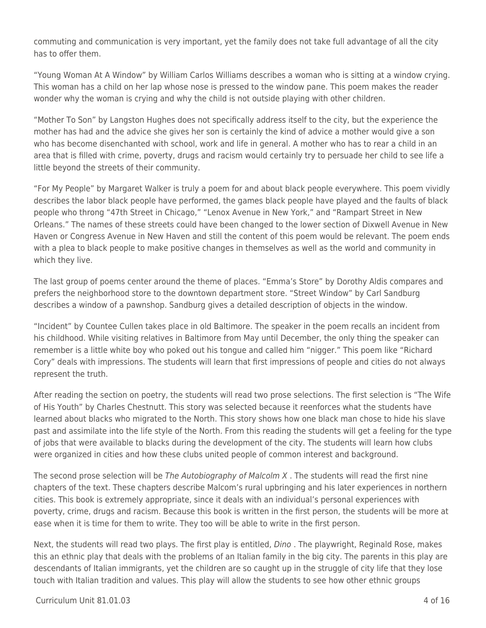commuting and communication is very important, yet the family does not take full advantage of all the city has to offer them.

"Young Woman At A Window" by William Carlos Williams describes a woman who is sitting at a window crying. This woman has a child on her lap whose nose is pressed to the window pane. This poem makes the reader wonder why the woman is crying and why the child is not outside playing with other children.

"Mother To Son" by Langston Hughes does not specifically address itself to the city, but the experience the mother has had and the advice she gives her son is certainly the kind of advice a mother would give a son who has become disenchanted with school, work and life in general. A mother who has to rear a child in an area that is filled with crime, poverty, drugs and racism would certainly try to persuade her child to see life a little beyond the streets of their community.

"For My People" by Margaret Walker is truly a poem for and about black people everywhere. This poem vividly describes the labor black people have performed, the games black people have played and the faults of black people who throng "47th Street in Chicago," "Lenox Avenue in New York," and "Rampart Street in New Orleans." The names of these streets could have been changed to the lower section of Dixwell Avenue in New Haven or Congress Avenue in New Haven and still the content of this poem would be relevant. The poem ends with a plea to black people to make positive changes in themselves as well as the world and community in which they live.

The last group of poems center around the theme of places. "Emma's Store" by Dorothy Aldis compares and prefers the neighborhood store to the downtown department store. "Street Window" by Carl Sandburg describes a window of a pawnshop. Sandburg gives a detailed description of objects in the window.

"Incident" by Countee Cullen takes place in old Baltimore. The speaker in the poem recalls an incident from his childhood. While visiting relatives in Baltimore from May until December, the only thing the speaker can remember is a little white boy who poked out his tongue and called him "nigger." This poem like "Richard Cory" deals with impressions. The students will learn that first impressions of people and cities do not always represent the truth.

After reading the section on poetry, the students will read two prose selections. The first selection is "The Wife of His Youth" by Charles Chestnutt. This story was selected because it reenforces what the students have learned about blacks who migrated to the North. This story shows how one black man chose to hide his slave past and assimilate into the life style of the North. From this reading the students will get a feeling for the type of jobs that were available to blacks during the development of the city. The students will learn how clubs were organized in cities and how these clubs united people of common interest and background.

The second prose selection will be The Autobiography of Malcolm  $X$ . The students will read the first nine chapters of the text. These chapters describe Malcom's rural upbringing and his later experiences in northern cities. This book is extremely appropriate, since it deals with an individual's personal experiences with poverty, crime, drugs and racism. Because this book is written in the first person, the students will be more at ease when it is time for them to write. They too will be able to write in the first person.

Next, the students will read two plays. The first play is entitled, Dino. The playwright, Reginald Rose, makes this an ethnic play that deals with the problems of an Italian family in the big city. The parents in this play are descendants of Italian immigrants, yet the children are so caught up in the struggle of city life that they lose touch with Italian tradition and values. This play will allow the students to see how other ethnic groups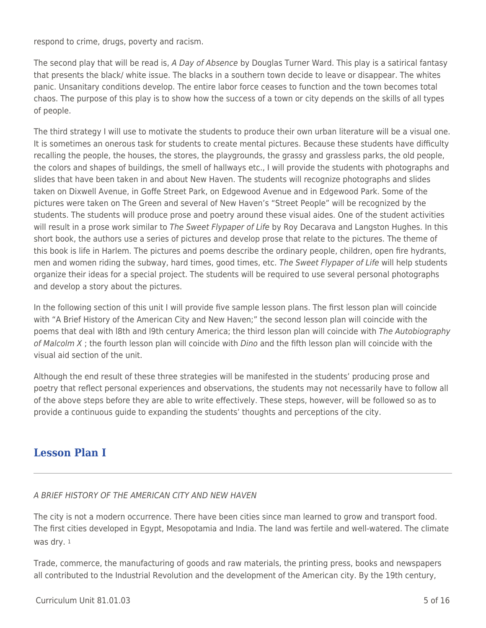respond to crime, drugs, poverty and racism.

The second play that will be read is, A Day of Absence by Douglas Turner Ward. This play is a satirical fantasy that presents the black/ white issue. The blacks in a southern town decide to leave or disappear. The whites panic. Unsanitary conditions develop. The entire labor force ceases to function and the town becomes total chaos. The purpose of this play is to show how the success of a town or city depends on the skills of all types of people.

The third strategy I will use to motivate the students to produce their own urban literature will be a visual one. It is sometimes an onerous task for students to create mental pictures. Because these students have difficulty recalling the people, the houses, the stores, the playgrounds, the grassy and grassless parks, the old people, the colors and shapes of buildings, the smell of hallways etc., I will provide the students with photographs and slides that have been taken in and about New Haven. The students will recognize photographs and slides taken on Dixwell Avenue, in Goffe Street Park, on Edgewood Avenue and in Edgewood Park. Some of the pictures were taken on The Green and several of New Haven's "Street People" will be recognized by the students. The students will produce prose and poetry around these visual aides. One of the student activities will result in a prose work similar to The Sweet Flypaper of Life by Roy Decarava and Langston Hughes. In this short book, the authors use a series of pictures and develop prose that relate to the pictures. The theme of this book is life in Harlem. The pictures and poems describe the ordinary people, children, open fire hydrants, men and women riding the subway, hard times, good times, etc. The Sweet Flypaper of Life will help students organize their ideas for a special project. The students will be required to use several personal photographs and develop a story about the pictures.

In the following section of this unit I will provide five sample lesson plans. The first lesson plan will coincide with "A Brief History of the American City and New Haven;" the second lesson plan will coincide with the poems that deal with l8th and l9th century America; the third lesson plan will coincide with The Autobiography of Malcolm X ; the fourth lesson plan will coincide with Dino and the fifth lesson plan will coincide with the visual aid section of the unit.

Although the end result of these three strategies will be manifested in the students' producing prose and poetry that reflect personal experiences and observations, the students may not necessarily have to follow all of the above steps before they are able to write effectively. These steps, however, will be followed so as to provide a continuous guide to expanding the students' thoughts and perceptions of the city.

# **Lesson Plan I**

### A BRIEF HISTORY OF THE AMERICAN CITY AND NEW HAVEN

The city is not a modern occurrence. There have been cities since man learned to grow and transport food. The first cities developed in Egypt, Mesopotamia and India. The land was fertile and well-watered. The climate was dry. <sup>1</sup>

Trade, commerce, the manufacturing of goods and raw materials, the printing press, books and newspapers all contributed to the Industrial Revolution and the development of the American city. By the 19th century,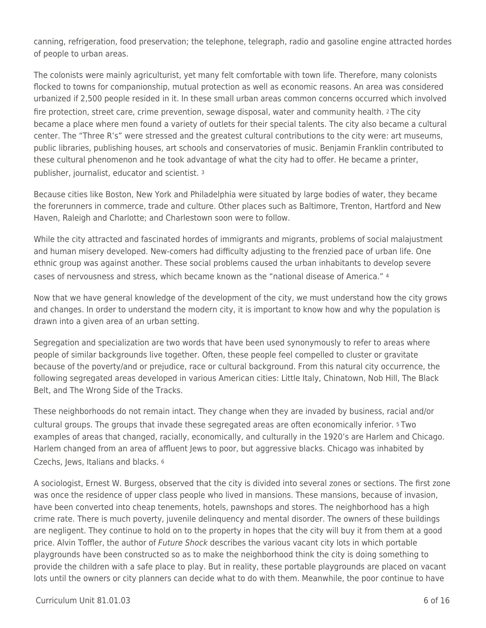canning, refrigeration, food preservation; the telephone, telegraph, radio and gasoline engine attracted hordes of people to urban areas.

The colonists were mainly agriculturist, yet many felt comfortable with town life. Therefore, many colonists flocked to towns for companionship, mutual protection as well as economic reasons. An area was considered urbanized if 2,500 people resided in it. In these small urban areas common concerns occurred which involved fire protection, street care, crime prevention, sewage disposal, water and community health. 2 The city became a place where men found a variety of outlets for their special talents. The city also became a cultural center. The "Three R's" were stressed and the greatest cultural contributions to the city were: art museums, public libraries, publishing houses, art schools and conservatories of music. Benjamin Franklin contributed to these cultural phenomenon and he took advantage of what the city had to offer. He became a printer, publisher, journalist, educator and scientist. <sup>3</sup>

Because cities like Boston, New York and Philadelphia were situated by large bodies of water, they became the forerunners in commerce, trade and culture. Other places such as Baltimore, Trenton, Hartford and New Haven, Raleigh and Charlotte; and Charlestown soon were to follow.

While the city attracted and fascinated hordes of immigrants and migrants, problems of social malajustment and human misery developed. New-comers had difficulty adjusting to the frenzied pace of urban life. One ethnic group was against another. These social problems caused the urban inhabitants to develop severe cases of nervousness and stress, which became known as the "national disease of America." <sup>4</sup>

Now that we have general knowledge of the development of the city, we must understand how the city grows and changes. In order to understand the modern city, it is important to know how and why the population is drawn into a given area of an urban setting.

Segregation and specialization are two words that have been used synonymously to refer to areas where people of similar backgrounds live together. Often, these people feel compelled to cluster or gravitate because of the poverty/and or prejudice, race or cultural background. From this natural city occurrence, the following segregated areas developed in various American cities: Little Italy, Chinatown, Nob Hill, The Black Belt, and The Wrong Side of the Tracks.

These neighborhoods do not remain intact. They change when they are invaded by business, racial and/or cultural groups. The groups that invade these segregated areas are often economically inferior. 5 Two examples of areas that changed, racially, economically, and culturally in the 1920's are Harlem and Chicago. Harlem changed from an area of affluent Jews to poor, but aggressive blacks. Chicago was inhabited by Czechs, Jews, Italians and blacks. <sup>6</sup>

A sociologist, Ernest W. Burgess, observed that the city is divided into several zones or sections. The first zone was once the residence of upper class people who lived in mansions. These mansions, because of invasion, have been converted into cheap tenements, hotels, pawnshops and stores. The neighborhood has a high crime rate. There is much poverty, juvenile delinquency and mental disorder. The owners of these buildings are negligent. They continue to hold on to the property in hopes that the city will buy it from them at a good price. Alvin Toffler, the author of Future Shock describes the various vacant city lots in which portable playgrounds have been constructed so as to make the neighborhood think the city is doing something to provide the children with a safe place to play. But in reality, these portable playgrounds are placed on vacant lots until the owners or city planners can decide what to do with them. Meanwhile, the poor continue to have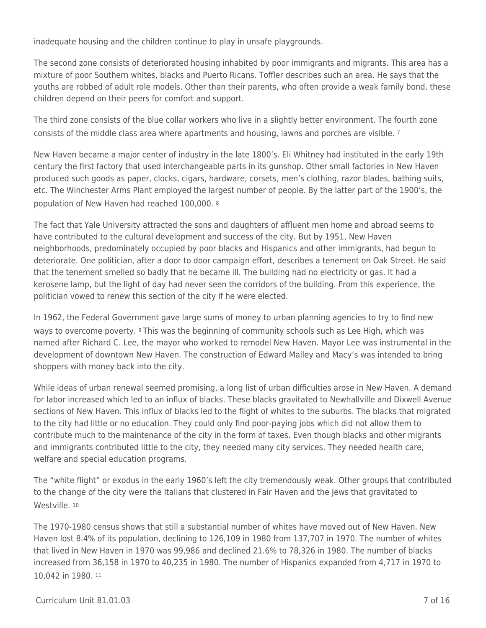inadequate housing and the children continue to play in unsafe playgrounds.

The second zone consists of deteriorated housing inhabited by poor immigrants and migrants. This area has a mixture of poor Southern whites, blacks and Puerto Ricans. Toffler describes such an area. He says that the youths are robbed of adult role models. Other than their parents, who often provide a weak family bond, these children depend on their peers for comfort and support.

The third zone consists of the blue collar workers who live in a slightly better environment. The fourth zone consists of the middle class area where apartments and housing, lawns and porches are visible. <sup>7</sup>

New Haven became a major center of industry in the late 1800's. Eli Whitney had instituted in the early 19th century the first factory that used interchangeable parts in its gunshop. Other small factories in New Haven produced such goods as paper, clocks, cigars, hardware, corsets, men's clothing, razor blades, bathing suits, etc. The Winchester Arms Plant employed the largest number of people. By the latter part of the 1900's, the population of New Haven had reached 100,000. <sup>8</sup>

The fact that Yale University attracted the sons and daughters of affluent men home and abroad seems to have contributed to the cultural development and success of the city. But by 1951, New Haven neighborhoods, predominately occupied by poor blacks and Hispanics and other immigrants, had begun to deteriorate. One politician, after a door to door campaign effort, describes a tenement on Oak Street. He said that the tenement smelled so badly that he became ill. The building had no electricity or gas. It had a kerosene lamp, but the light of day had never seen the corridors of the building. From this experience, the politician vowed to renew this section of the city if he were elected.

In 1962, the Federal Government gave large sums of money to urban planning agencies to try to find new ways to overcome poverty. 9 This was the beginning of community schools such as Lee High, which was named after Richard C. Lee, the mayor who worked to remodel New Haven. Mayor Lee was instrumental in the development of downtown New Haven. The construction of Edward Malley and Macy's was intended to bring shoppers with money back into the city.

While ideas of urban renewal seemed promising, a long list of urban difficulties arose in New Haven. A demand for labor increased which led to an influx of blacks. These blacks gravitated to Newhallville and Dixwell Avenue sections of New Haven. This influx of blacks led to the flight of whites to the suburbs. The blacks that migrated to the city had little or no education. They could only find poor-paying jobs which did not allow them to contribute much to the maintenance of the city in the form of taxes. Even though blacks and other migrants and immigrants contributed little to the city, they needed many city services. They needed health care, welfare and special education programs.

The "white flight" or exodus in the early 1960's left the city tremendously weak. Other groups that contributed to the change of the city were the Italians that clustered in Fair Haven and the Jews that gravitated to Westville. 10

The 1970-1980 census shows that still a substantial number of whites have moved out of New Haven. New Haven lost 8.4% of its population, declining to 126,109 in 1980 from 137,707 in 1970. The number of whites that lived in New Haven in 1970 was 99,986 and declined 21.6% to 78,326 in 1980. The number of blacks increased from 36,158 in 1970 to 40,235 in 1980. The number of Hispanics expanded from 4,717 in 1970 to 10,042 in 1980. 11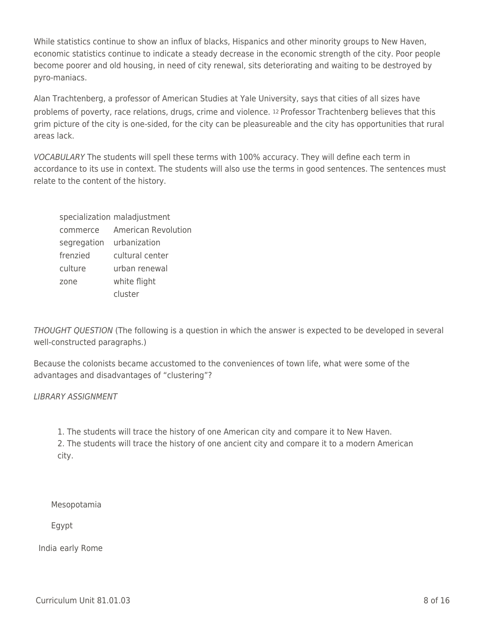While statistics continue to show an influx of blacks, Hispanics and other minority groups to New Haven, economic statistics continue to indicate a steady decrease in the economic strength of the city. Poor people become poorer and old housing, in need of city renewal, sits deteriorating and waiting to be destroyed by pyro-maniacs.

Alan Trachtenberg, a professor of American Studies at Yale University, says that cities of all sizes have problems of poverty, race relations, drugs, crime and violence. 12 Professor Trachtenberg believes that this grim picture of the city is one-sided, for the city can be pleasureable and the city has opportunities that rural areas lack.

VOCABULARY The students will spell these terms with 100% accuracy. They will define each term in accordance to its use in context. The students will also use the terms in good sentences. The sentences must relate to the content of the history.

|                          | specialization maladjustment |
|--------------------------|------------------------------|
| commerce                 | <b>American Revolution</b>   |
| segregation urbanization |                              |
| frenzied                 | cultural center              |
| culture                  | urban renewal                |
| zone                     | white flight                 |
|                          | cluster                      |

THOUGHT QUESTION (The following is a question in which the answer is expected to be developed in several well-constructed paragraphs.)

Because the colonists became accustomed to the conveniences of town life, what were some of the advantages and disadvantages of "clustering"?

LIBRARY ASSIGNMENT

1. The students will trace the history of one American city and compare it to New Haven. 2. The students will trace the history of one ancient city and compare it to a modern American city.

\_\_\_\_ Mesopotamia

\_\_\_\_ Egypt

India early Rome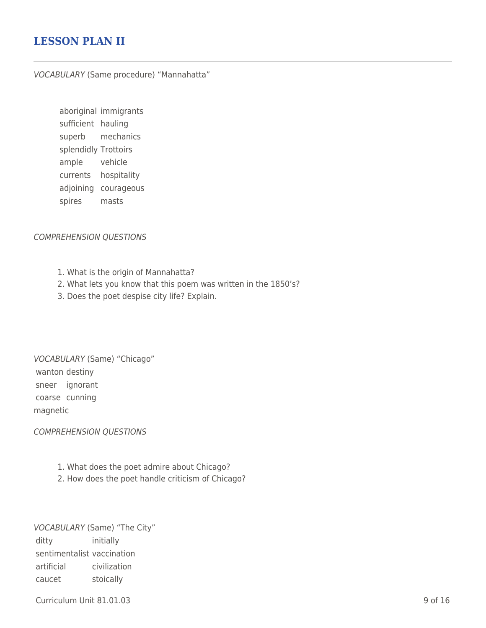## **LESSON PLAN II**

#### VOCABULARY (Same procedure) "Mannahatta"

aboriginal immigrants sufficient hauling superb mechanics splendidly Trottoirs ample vehicle currents hospitality adjoining courageous spires masts

#### COMPREHENSION QUESTIONS

- 1. What is the origin of Mannahatta?
- 2. What lets you know that this poem was written in the 1850's?
- 3. Does the poet despise city life? Explain.

VOCABULARY (Same) "Chicago" wanton destiny sneer ignorant coarse cunning magnetic

#### COMPREHENSION QUESTIONS

- 1. What does the poet admire about Chicago?
- 2. How does the poet handle criticism of Chicago?

VOCABULARY (Same) "The City" ditty initially sentimentalist vaccination artificial civilization caucet stoically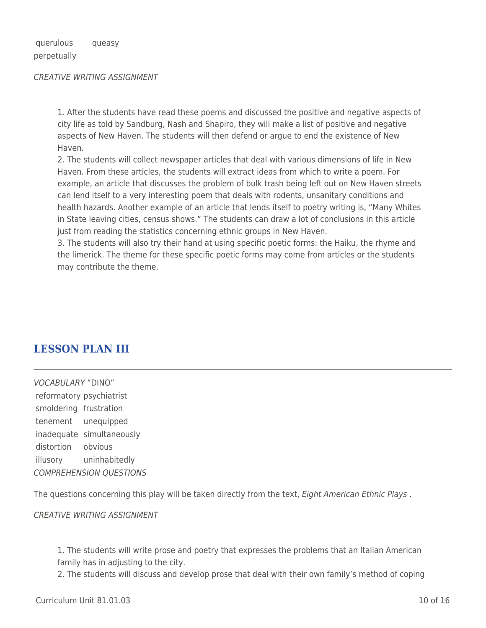querulous queasy perpetually

#### CREATIVE WRlTING ASSIGNMENT

1. After the students have read these poems and discussed the positive and negative aspects of city life as told by Sandburg, Nash and Shapiro, they will make a list of positive and negative aspects of New Haven. The students will then defend or argue to end the existence of New Haven.

2. The students will collect newspaper articles that deal with various dimensions of life in New Haven. From these articles, the students will extract ideas from which to write a poem. For example, an article that discusses the problem of bulk trash being left out on New Haven streets can lend itself to a very interesting poem that deals with rodents, unsanitary conditions and health hazards. Another example of an article that lends itself to poetry writing is, "Many Whites in State leaving cities, census shows." The students can draw a lot of conclusions in this article just from reading the statistics concerning ethnic groups in New Haven.

3. The students will also try their hand at using specific poetic forms: the Haiku, the rhyme and the limerick. The theme for these specific poetic forms may come from articles or the students may contribute the theme.

### **LESSON PLAN III**

VOCABULARY "DINO" reformatory psychiatrist smoldering frustration tenement unequipped inadequate simultaneously distortion obvious illusory uninhabitedly COMPREHENSION QUESTIONS

The questions concerning this play will be taken directly from the text, Eight American Ethnic Plays.

CREATIVE WRITING ASSIGNMENT

1. The students will write prose and poetry that expresses the problems that an Italian American family has in adjusting to the city.

2. The students will discuss and develop prose that deal with their own family's method of coping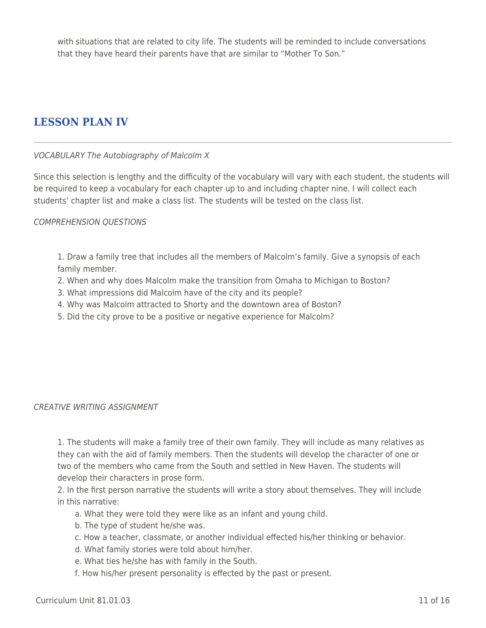with situations that are related to city life. The students will be reminded to include conversations that they have heard their parents have that are similar to "Mother To Son."

## **LESSON PLAN IV**

### VOCABULARY The Autobiography of Malcolm X

Since this selection is lengthy and the difficulty of the vocabulary will vary with each student, the students will be required to keep a vocabulary for each chapter up to and including chapter nine. I will collect each students' chapter list and make a class list. The students will be tested on the class list.

### COMPREHENSION QUESTIONS

1. Draw a family tree that includes all the members of Malcolm's family. Give a synopsis of each family member.

- 2. When and why does Malcolm make the transition from Omaha to Michigan to Boston?
- 3. What impressions did Malcolm have of the city and its people?
- 4. Why was Malcolm attracted to Shorty and the downtown area of Boston?
- 5. Did the city prove to be a positive or negative experience for Malcolm?

#### CREATIVE WRITING ASSIGNMENT

1. The students will make a family tree of their own family. They will include as many relatives as they can with the aid of family members. Then the students will develop the character of one or two of the members who came from the South and settled in New Haven. The students will develop their characters in prose form.

2. In the first person narrative the students will write a story about themselves. They will include in this narrative:

- a. What they were told they were like as an infant and young child.
- b. The type of student he/she was.
- \_\_\_\_ c. How a teacher, classmate, or another individual effected his/her thinking or behavior.
- d. What family stories were told about him/her.
- e. What ties he/she has with family in the South.
- f. How his/her present personality is effected by the past or present.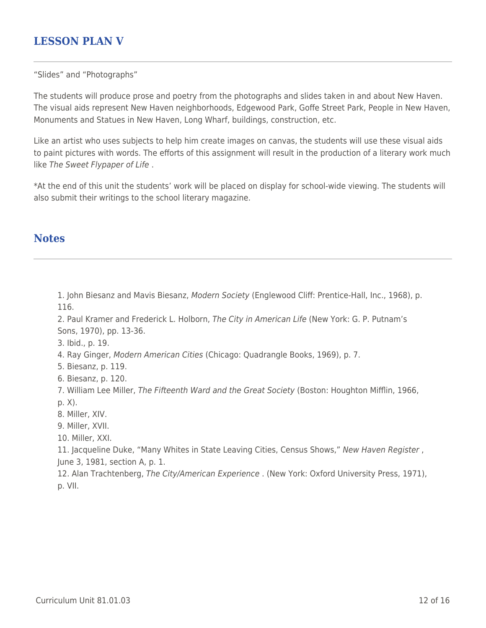## **LESSON PLAN V**

"Slides" and "Photographs"

The students will produce prose and poetry from the photographs and slides taken in and about New Haven. The visual aids represent New Haven neighborhoods, Edgewood Park, Goffe Street Park, People in New Haven, Monuments and Statues in New Haven, Long Wharf, buildings, construction, etc.

Like an artist who uses subjects to help him create images on canvas, the students will use these visual aids to paint pictures with words. The efforts of this assignment will result in the production of a literary work much like The Sweet Flypaper of Life .

\*At the end of this unit the students' work will be placed on display for school-wide viewing. The students will also submit their writings to the school literary magazine.

### **Notes**

1. John Biesanz and Mavis Biesanz, Modern Society (Englewood Cliff: Prentice-Hall, Inc., 1968), p. 116.

2. Paul Kramer and Frederick L. Holborn, The City in American Life (New York: G. P. Putnam's Sons, 1970), pp. 13-36.

3. Ibid., p. 19.

4. Ray Ginger, Modern American Cities (Chicago: Quadrangle Books, 1969), p. 7.

5. Biesanz, p. 119.

- 6. Biesanz, p. 120.
- 7. William Lee Miller, The Fifteenth Ward and the Great Society (Boston: Houghton Mifflin, 1966, p. X).

8. Miller, XIV.

9. Miller, XVII.

10. Miller, XXI.

11. Jacqueline Duke, "Many Whites in State Leaving Cities, Census Shows," New Haven Register, June 3, 1981, section A, p. 1.

12. Alan Trachtenberg, The City/American Experience . (New York: Oxford University Press, 1971), p. VII.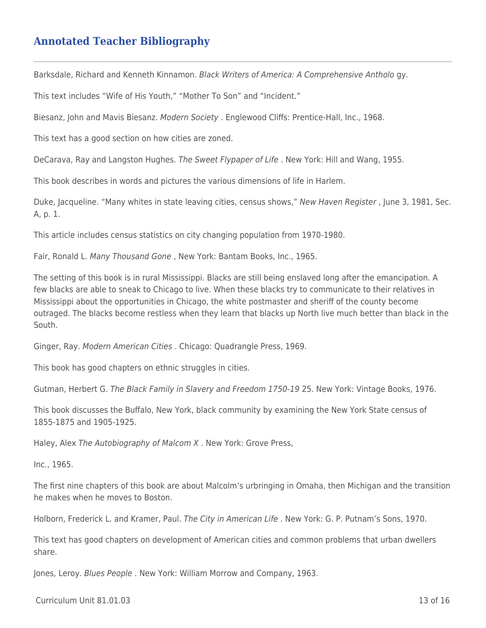## **Annotated Teacher Bibliography**

Barksdale, Richard and Kenneth Kinnamon. Black Writers of America: A Comprehensive Antholo gy.

This text includes "Wife of His Youth," "Mother To Son" and "Incident."

Biesanz, John and Mavis Biesanz. Modern Society . Englewood Cliffs: Prentice-Hall, Inc., 1968.

This text has a good section on how cities are zoned.

DeCarava, Ray and Langston Hughes. The Sweet Flypaper of Life . New York: Hill and Wang, 1955.

This book describes in words and pictures the various dimensions of life in Harlem.

Duke, Jacqueline. "Many whites in state leaving cities, census shows," New Haven Register, June 3, 1981, Sec. A, p. 1.

This article includes census statistics on city changing population from 1970-1980.

Fair, Ronald L. Many Thousand Gone , New York: Bantam Books, Inc., 1965.

The setting of this book is in rural Mississippi. Blacks are still being enslaved long after the emancipation. A few blacks are able to sneak to Chicago to live. When these blacks try to communicate to their relatives in Mississippi about the opportunities in Chicago, the white postmaster and sheriff of the county become outraged. The blacks become restless when they learn that blacks up North live much better than black in the South.

Ginger, Ray. Modern American Cities . Chicago: Quadrangle Press, 1969.

This book has good chapters on ethnic struggles in cities.

Gutman, Herbert G. The Black Family in Slavery and Freedom 1750-19 25. New York: Vintage Books, 1976.

This book discusses the Buffalo, New York, black community by examining the New York State census of 1855-1875 and 1905-1925.

Haley, Alex The Autobiography of Malcom X . New York: Grove Press,

Inc., 1965.

The first nine chapters of this book are about Malcolm's urbringing in Omaha, then Michigan and the transition he makes when he moves to Boston.

Holborn, Frederick L. and Kramer, Paul. The City in American Life . New York: G. P. Putnam's Sons, 1970.

This text has good chapters on development of American cities and common problems that urban dwellers share.

Jones, Leroy. Blues People . New York: William Morrow and Company, 1963.

 $Curir$  Unit 81.01.03 13 of 16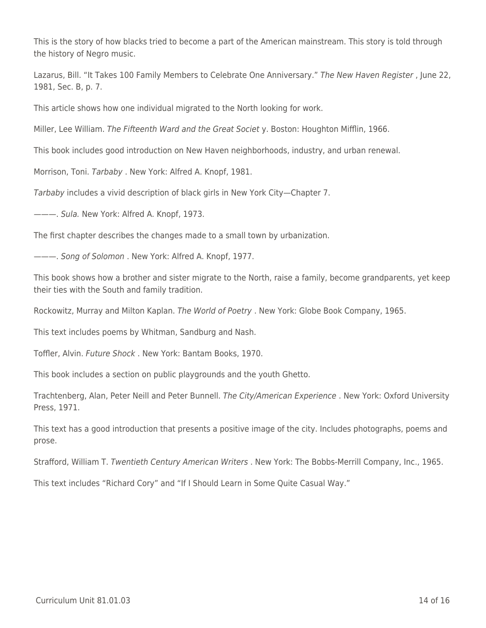This is the story of how blacks tried to become a part of the American mainstream. This story is told through the history of Negro music.

Lazarus, Bill. "It Takes 100 Family Members to Celebrate One Anniversary." The New Haven Register , June 22, 1981, Sec. B, p. 7.

This article shows how one individual migrated to the North looking for work.

Miller, Lee William. The Fifteenth Ward and the Great Societ y. Boston: Houghton Mifflin, 1966.

This book includes good introduction on New Haven neighborhoods, industry, and urban renewal.

Morrison, Toni. Tarbaby . New York: Alfred A. Knopf, 1981.

Tarbaby includes a vivid description of black girls in New York City—Chapter 7.

———. Sula. New York: Alfred A. Knopf, 1973.

The first chapter describes the changes made to a small town by urbanization.

———. Song of Solomon . New York: Alfred A. Knopf, 1977.

This book shows how a brother and sister migrate to the North, raise a family, become grandparents, yet keep their ties with the South and family tradition.

Rockowitz, Murray and Milton Kaplan. The World of Poetry . New York: Globe Book Company, 1965.

This text includes poems by Whitman, Sandburg and Nash.

Toffler, Alvin. Future Shock . New York: Bantam Books, 1970.

This book includes a section on public playgrounds and the youth Ghetto.

Trachtenberg, Alan, Peter Neill and Peter Bunnell. The City/American Experience . New York: Oxford University Press, 1971.

This text has a good introduction that presents a positive image of the city. Includes photographs, poems and prose.

Strafford, William T. Twentieth Century American Writers . New York: The Bobbs-Merrill Company, Inc., 1965.

This text includes "Richard Cory" and "If I Should Learn in Some Quite Casual Way."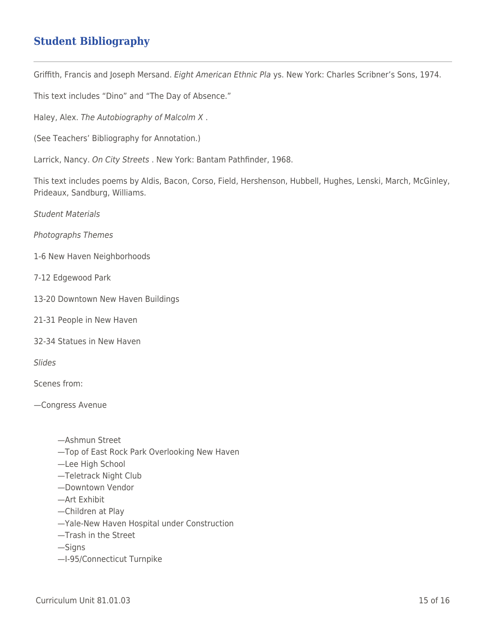# **Student Bibliography**

Griffith, Francis and Joseph Mersand. Eight American Ethnic Pla ys. New York: Charles Scribner's Sons, 1974.

This text includes "Dino" and "The Day of Absence."

Haley, Alex. The Autobiography of Malcolm X .

(See Teachers' Bibliography for Annotation.)

Larrick, Nancy. On City Streets . New York: Bantam Pathfinder, 1968.

This text includes poems by Aldis, Bacon, Corso, Field, Hershenson, Hubbell, Hughes, Lenski, March, McGinley, Prideaux, Sandburg, Williams.

Student Materials

Photographs Themes

- 1-6 New Haven Neighborhoods
- 7-12 Edgewood Park
- 13-20 Downtown New Haven Buildings
- 21-31 People in New Haven
- 32-34 Statues in New Haven

Slides

Scenes from:

—Congress Avenue

- —Ashmun Street
- —Top of East Rock Park Overlooking New Haven
- —Lee High School
- —Teletrack Night Club
- —Downtown Vendor
- —Art Exhibit
- —Children at Play
- —Yale-New Haven Hospital under Construction
- —Trash in the Street

—Signs

—I-95/Connecticut Turnpike